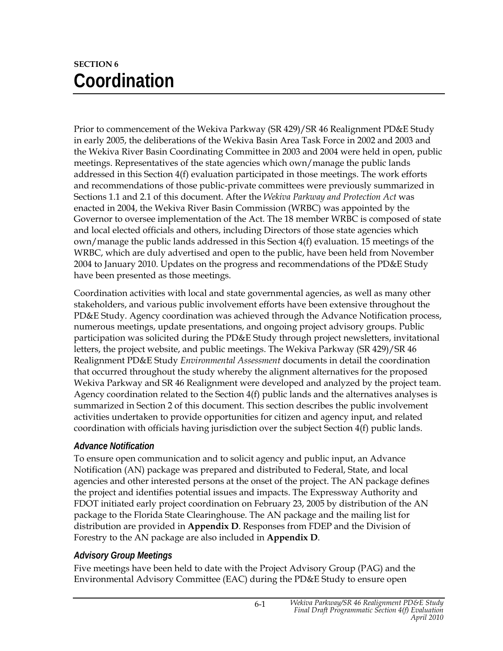# **SECTION 6 Coordination**

Prior to commencement of the Wekiva Parkway (SR 429)/SR 46 Realignment PD&E Study in early 2005, the deliberations of the Wekiva Basin Area Task Force in 2002 and 2003 and the Wekiva River Basin Coordinating Committee in 2003 and 2004 were held in open, public meetings. Representatives of the state agencies which own/manage the public lands addressed in this Section 4(f) evaluation participated in those meetings. The work efforts and recommendations of those public-private committees were previously summarized in Sections 1.1 and 2.1 of this document. After the *Wekiva Parkway and Protection Act* was enacted in 2004, the Wekiva River Basin Commission (WRBC) was appointed by the Governor to oversee implementation of the Act. The 18 member WRBC is composed of state and local elected officials and others, including Directors of those state agencies which own/manage the public lands addressed in this Section 4(f) evaluation. 15 meetings of the WRBC, which are duly advertised and open to the public, have been held from November 2004 to January 2010. Updates on the progress and recommendations of the PD&E Study have been presented as those meetings.

Coordination activities with local and state governmental agencies, as well as many other stakeholders, and various public involvement efforts have been extensive throughout the PD&E Study. Agency coordination was achieved through the Advance Notification process, numerous meetings, update presentations, and ongoing project advisory groups. Public participation was solicited during the PD&E Study through project newsletters, invitational letters, the project website, and public meetings. The Wekiva Parkway (SR 429)/SR 46 Realignment PD&E Study *Environmental Assessment* documents in detail the coordination that occurred throughout the study whereby the alignment alternatives for the proposed Wekiva Parkway and SR 46 Realignment were developed and analyzed by the project team. Agency coordination related to the Section 4(f) public lands and the alternatives analyses is summarized in Section 2 of this document. This section describes the public involvement activities undertaken to provide opportunities for citizen and agency input, and related coordination with officials having jurisdiction over the subject Section 4(f) public lands.

# *Advance Notification*

To ensure open communication and to solicit agency and public input, an Advance Notification (AN) package was prepared and distributed to Federal, State, and local agencies and other interested persons at the onset of the project. The AN package defines the project and identifies potential issues and impacts. The Expressway Authority and FDOT initiated early project coordination on February 23, 2005 by distribution of the AN package to the Florida State Clearinghouse. The AN package and the mailing list for distribution are provided in **Appendix D**. Responses from FDEP and the Division of Forestry to the AN package are also included in **Appendix D**.

# *Advisory Group Meetings*

Five meetings have been held to date with the Project Advisory Group (PAG) and the Environmental Advisory Committee (EAC) during the PD&E Study to ensure open

6-1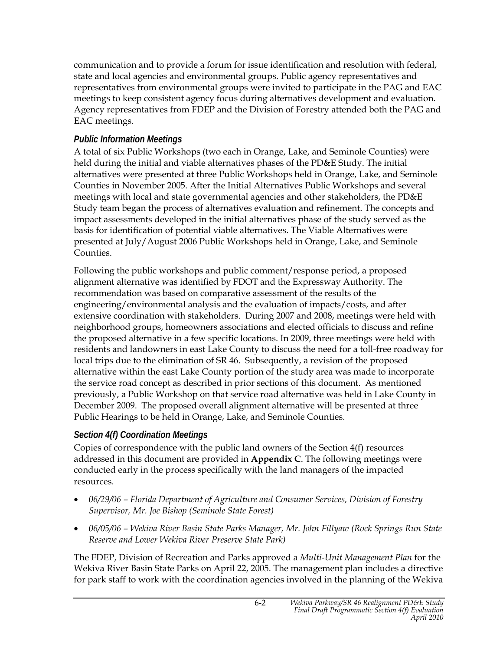communication and to provide a forum for issue identification and resolution with federal, state and local agencies and environmental groups. Public agency representatives and representatives from environmental groups were invited to participate in the PAG and EAC meetings to keep consistent agency focus during alternatives development and evaluation. Agency representatives from FDEP and the Division of Forestry attended both the PAG and EAC meetings.

# *Public Information Meetings*

A total of six Public Workshops (two each in Orange, Lake, and Seminole Counties) were held during the initial and viable alternatives phases of the PD&E Study. The initial alternatives were presented at three Public Workshops held in Orange, Lake, and Seminole Counties in November 2005. After the Initial Alternatives Public Workshops and several meetings with local and state governmental agencies and other stakeholders, the PD&E Study team began the process of alternatives evaluation and refinement. The concepts and impact assessments developed in the initial alternatives phase of the study served as the basis for identification of potential viable alternatives. The Viable Alternatives were presented at July/August 2006 Public Workshops held in Orange, Lake, and Seminole Counties.

Following the public workshops and public comment/response period, a proposed alignment alternative was identified by FDOT and the Expressway Authority. The recommendation was based on comparative assessment of the results of the engineering/environmental analysis and the evaluation of impacts/costs, and after extensive coordination with stakeholders. During 2007 and 2008, meetings were held with neighborhood groups, homeowners associations and elected officials to discuss and refine the proposed alternative in a few specific locations. In 2009, three meetings were held with residents and landowners in east Lake County to discuss the need for a toll-free roadway for local trips due to the elimination of SR 46. Subsequently, a revision of the proposed alternative within the east Lake County portion of the study area was made to incorporate the service road concept as described in prior sections of this document. As mentioned previously, a Public Workshop on that service road alternative was held in Lake County in December 2009. The proposed overall alignment alternative will be presented at three Public Hearings to be held in Orange, Lake, and Seminole Counties.

# *Section 4(f) Coordination Meetings*

Copies of correspondence with the public land owners of the Section 4(f) resources addressed in this document are provided in **Appendix C**. The following meetings were conducted early in the process specifically with the land managers of the impacted resources.

- *06/29/06 Florida Department of Agriculture and Consumer Services, Division of Forestry Supervisor, Mr. Joe Bishop (Seminole State Forest)*
- *06/05/06 Wekiva River Basin State Parks Manager, Mr. John Fillyaw (Rock Springs Run State Reserve and Lower Wekiva River Preserve State Park)*

The FDEP, Division of Recreation and Parks approved a *Multi-Unit Management Plan* for the Wekiva River Basin State Parks on April 22, 2005. The management plan includes a directive for park staff to work with the coordination agencies involved in the planning of the Wekiva